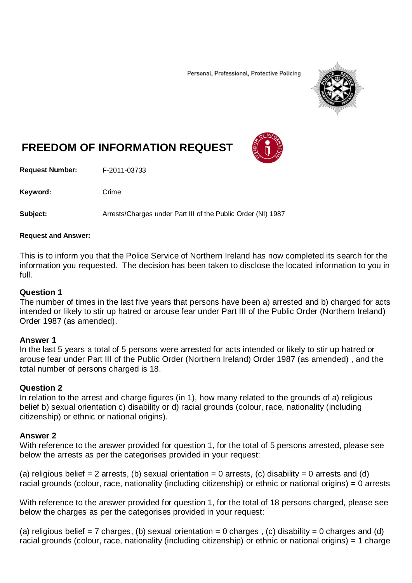Personal, Professional, Protective Policing



# **FREEDOM OF INFORMATION REQUEST**

**Request Number:** F-2011-03733

Keyword: Crime

**Subject:** Arrests/Charges under Part III of the Public Order (NI) 1987

#### **Request and Answer:**

This is to inform you that the Police Service of Northern Ireland has now completed its search for the information you requested. The decision has been taken to disclose the located information to you in full.

### **Question 1**

The number of times in the last five years that persons have been a) arrested and b) charged for acts intended or likely to stir up hatred or arouse fear under Part III of the Public Order (Northern Ireland) Order 1987 (as amended).

#### **Answer 1**

In the last 5 years a total of 5 persons were arrested for acts intended or likely to stir up hatred or arouse fear under Part III of the Public Order (Northern Ireland) Order 1987 (as amended) , and the total number of persons charged is 18.

#### **Question 2**

In relation to the arrest and charge figures (in 1), how many related to the grounds of a) religious belief b) sexual orientation c) disability or d) racial grounds (colour, race, nationality (including citizenship) or ethnic or national origins).

#### **Answer 2**

With reference to the answer provided for question 1, for the total of 5 persons arrested, please see below the arrests as per the categorises provided in your request:

(a) religious belief = 2 arrests, (b) sexual orientation = 0 arrests, (c) disability = 0 arrests and (d) racial grounds (colour, race, nationality (including citizenship) or ethnic or national origins) = 0 arrests

With reference to the answer provided for question 1, for the total of 18 persons charged, please see below the charges as per the categorises provided in your request:

(a) religious belief = 7 charges, (b) sexual orientation = 0 charges, (c) disability = 0 charges and (d) racial grounds (colour, race, nationality (including citizenship) or ethnic or national origins) = 1 charge